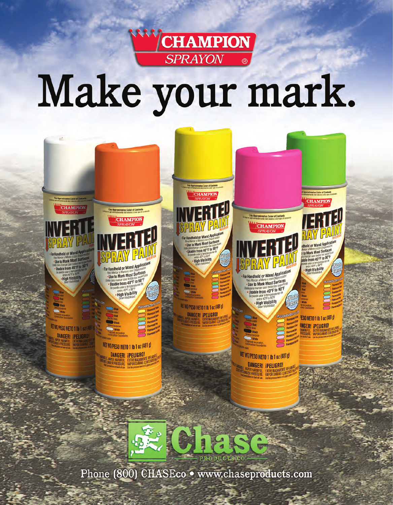

## Make your mark.



Phone (800) CHASEco · www.chaseproducts.com